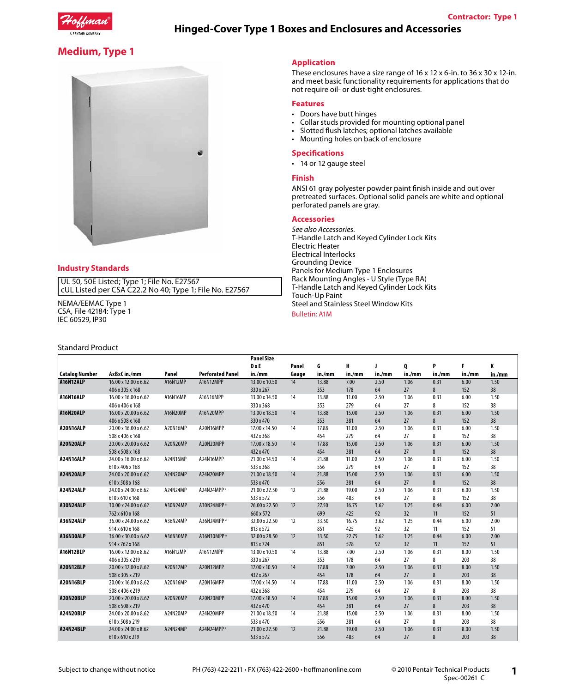

# **Hinged-Cover Type 1 Boxes and Enclosures and Accessories**

# **Medium, Type 1**



## **Industry Standards**

UL 50, 50E Listed; Type 1; File No. E27567 cUL Listed per CSA C22.2 No 40; Type 1; File No. E27567

NEMA/EEMAC Type 1 CSA, File 42184: Type 1 IEC 60529, IP30

### Standard Product

### **Application**

These enclosures have a size range of 16 x 12 x 6-in. to 36 x 30 x 12-in. and meet basic functionality requirements for applications that do not require oil- or dust-tight enclosures.

#### **Features**

- Doors have butt hinges
- Collar studs provided for mounting optional panel
- Slotted flush latches; optional latches available
- Mounting holes on back of enclosure

#### **Specifications**

• 14 or 12 gauge steel

#### **Finish**

ANSI 61 gray polyester powder paint finish inside and out over pretreated surfaces. Optional solid panels are white and optional perforated panels are gray.

#### **Accessories**

*See also Accessories.* T-Handle Latch and Keyed Cylinder Lock Kits Electric Heater Electrical Interlocks Grounding Device Panels for Medium Type 1 Enclosures Rack Mounting Angles - U Style (Type RA) T-Handle Latch and Keyed Cylinder Lock Kits Touch-Up Paint Steel and Stainless Steel Window Kits

#### Bulletin: A1M

|                       |                      |          |                         | <b>Panel Size</b> | Panel | G      | н      |        | Q      | P      |        | K      |
|-----------------------|----------------------|----------|-------------------------|-------------------|-------|--------|--------|--------|--------|--------|--------|--------|
|                       |                      |          |                         | <b>D</b> xE       |       |        |        |        |        |        |        |        |
| <b>Catalog Number</b> | AxBxCin./mm          | Panel    | <b>Perforated Panel</b> | in./mm            | Gauge | in./mm | in./mm | in./mm | in./mm | in./mm | in./mm | in./mm |
| A16N12ALP             | 16.00 x 12.00 x 6.62 | A16N12MP | A16N12MPP               | 13.00 x 10.50     | 14    | 13.88  | 7.00   | 2.50   | 1.06   | 0.31   | 6.00   | 1.50   |
|                       | 406 x 305 x 168      |          |                         | 330 x 267         |       | 353    | 178    | 64     | 27     | 8      | 152    | 38     |
| A16N16ALP             | 16.00 x 16.00 x 6.62 | A16N16MP | A16N16MPP               | 13.00 x 14.50     | 14    | 13.88  | 11.00  | 2.50   | 1.06   | 0.31   | 6.00   | 1.50   |
|                       | 406 x 406 x 168      |          |                         | 330 x 368         |       | 353    | 279    | 64     | 27     | 8      | 152    | 38     |
| A16N20ALP             | 16.00 x 20.00 x 6.62 | A16N20MP | A16N20MPP               | 13.00 x 18.50     | 14    | 13.88  | 15.00  | 2.50   | 1.06   | 0.31   | 6.00   | 1.50   |
|                       | 406 x 508 x 168      |          |                         | 330 x 470         |       | 353    | 381    | 64     | 27     | 8      | 152    | 38     |
| A20N16ALP             | 20.00 x 16.00 x 6.62 | A20N16MP | A20N16MPP               | 17.00 x 14.50     | 14    | 17.88  | 11.00  | 2.50   | 1.06   | 0.31   | 6.00   | 1.50   |
|                       | 508 x 406 x 168      |          |                         | 432 x 368         |       | 454    | 279    | 64     | 27     | 8      | 152    | 38     |
| A20N20ALP             | 20.00 x 20.00 x 6.62 | A20N20MP | A20N20MPP               | 17.00 x 18.50     | 14    | 17.88  | 15.00  | 2.50   | 1.06   | 0.31   | 6.00   | 1.50   |
|                       | 508 x 508 x 168      |          |                         | 432 x 470         |       | 454    | 381    | 64     | 27     | 8      | 152    | 38     |
| A24N16ALP             | 24.00 x 16.00 x 6.62 | A24N16MP | A24N16MPP               | 21.00 x 14.50     | 14    | 21.88  | 11.00  | 2.50   | 1.06   | 0.31   | 6.00   | 1.50   |
|                       | 610 x 406 x 168      |          |                         | 533 x 368         |       | 556    | 279    | 64     | 27     | 8      | 152    | 38     |
| A24N20ALP             | 24.00 x 20.00 x 6.62 | A24N20MP | A24N20MPP               | 21.00 x 18.50     | 14    | 21.88  | 15.00  | 2.50   | 1.06   | 0.31   | 6.00   | 1.50   |
|                       | 610 x 508 x 168      |          |                         | 533 x 470         |       | 556    | 381    | 64     | 27     | 8      | 152    | 38     |
| A24N24ALP             | 24.00 x 24.00 x 6.62 | A24N24MP | A24N24MPP <sup>a</sup>  | 21.00 x 22.50     | 12    | 21.88  | 19.00  | 2.50   | 1.06   | 0.31   | 6.00   | 1.50   |
|                       | 610 x 610 x 168      |          |                         | 533 x 572         |       | 556    | 483    | 64     | 27     | 8      | 152    | 38     |
| A30N24ALP             | 30.00 x 24.00 x 6.62 | A30N24MP | A30N24MPP <sup>a</sup>  | 26.00 x 22.50     | 12    | 27.50  | 16.75  | 3.62   | 1.25   | 0.44   | 6.00   | 2.00   |
|                       | 762 x 610 x 168      |          |                         | 660 x 572         |       | 699    | 425    | 92     | 32     | 11     | 152    | 51     |
| A36N24ALP             | 36.00 x 24.00 x 6.62 | A36N24MP | A36N24MPP <sup>a</sup>  | 32.00 x 22.50     | 12    | 33.50  | 16.75  | 3.62   | 1.25   | 0.44   | 6.00   | 2.00   |
|                       | 914 x 610 x 168      |          |                         | 813 x 572         |       | 851    | 425    | 92     | 32     | 11     | 152    | 51     |
| A36N30ALP             | 36.00 x 30.00 x 6.62 | A36N30MP | A36N30MPP <sup>a</sup>  | 32.00 x 28.50     | 12    | 33.50  | 22.75  | 3.62   | 1.25   | 0.44   | 6.00   | 2.00   |
|                       | 914 x 762 x 168      |          |                         | 813 x 724         |       | 851    | 578    | 92     | 32     | 11     | 152    | 51     |
| A16N12BLP             | 16.00 x 12.00 x 8.62 | A16N12MP | A16N12MPP               | 13.00 x 10.50     | 14    | 13.88  | 7.00   | 2.50   | 1.06   | 0.31   | 8.00   | 1.50   |
|                       | 406 x 305 x 219      |          |                         | 330 x 267         |       | 353    | 178    | 64     | 27     | 8      | 203    | 38     |
| A20N12BLP             | 20.00 x 12.00 x 8.62 | A20N12MP | A20N12MPP               | 17.00 x 10.50     | 14    | 17.88  | 7.00   | 2.50   | 1.06   | 0.31   | 8.00   | 1.50   |
|                       | 508 x 305 x 219      |          |                         | 432 x 267         |       | 454    | 178    | 64     | 27     | 8      | 203    | 38     |
| A20N16BLP             | 20.00 x 16.00 x 8.62 | A20N16MP | A20N16MPP               | 17.00 x 14.50     | 14    | 17.88  | 11.00  | 2.50   | 1.06   | 0.31   | 8.00   | 1.50   |
|                       | 508 x 406 x 219      |          |                         | 432 x 368         |       | 454    | 279    | 64     | 27     | 8      | 203    | 38     |
| A20N20BLP             | 20.00 x 20.00 x 8.62 | A20N20MP | A20N20MPP               | 17.00 x 18.50     | 14    | 17.88  | 15.00  | 2.50   | 1.06   | 0.31   | 8.00   | 1.50   |
|                       | 508 x 508 x 219      |          |                         | 432 x 470         |       | 454    | 381    | 64     | 27     | 8      | 203    | 38     |
| A24N20BLP             | 24.00 x 20.00 x 8.62 | A24N20MP | A24N20MPP               | 21.00 x 18.50     | 14    | 21.88  | 15.00  | 2.50   | 1.06   | 0.31   | 8.00   | 1.50   |
|                       | 610 x 508 x 219      |          |                         | 533 x 470         |       | 556    | 381    | 64     | 27     | 8      | 203    | 38     |
| A24N24BLP             | 24.00 x 24.00 x 8.62 | A24N24MP | A24N24MPP <sup>a</sup>  | 21.00 x 22.50     | 12    | 21.88  | 19.00  | 2.50   | 1.06   | 0.31   | 8.00   | 1.50   |
|                       | 610 x 610 x 219      |          |                         | 533 x 572         |       | 556    | 483    | 64     | 27     | 8      | 203    | 38     |